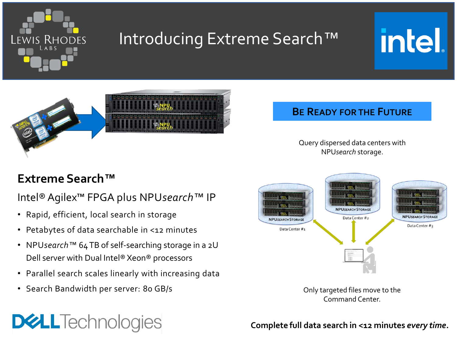

# Introducing Extreme Search*™*





## **Extreme Search***™*

### Intel® Agilex™ FPGA plus NPU*search™* IP

- Rapid, efficient, local search in storage
- Petabytes of data searchable in <12 minutes
- NPU*search™* 64 TB of self-searching storage in a 2U Dell server with Dual Intel® Xeon® processors
- Parallel search scales linearly with increasing data
- Search Bandwidth per server: 80 GB/s

**DELLTechnologies** 

## **BE READY FOR THE FUTURE**

Query dispersed data centers with NPU*search* storage.



Only targeted files move to the Command Center.

#### **Complete full data search in <12 minutes** *every time***.**